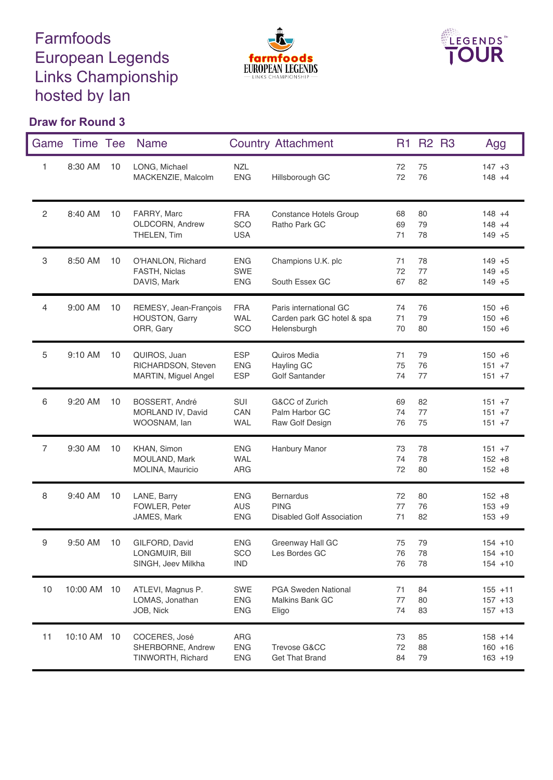## Farmfoods European Legends Links Championship hosted by Ian





## **Draw for Round 3**

| Game           | Time Tee    |    | <b>Name</b>                                                |                                        | <b>Country Attachment</b>                                           | R <sub>1</sub> | <b>R2 R3</b>   | Agg                                    |
|----------------|-------------|----|------------------------------------------------------------|----------------------------------------|---------------------------------------------------------------------|----------------|----------------|----------------------------------------|
| 1              | 8:30 AM     | 10 | LONG, Michael<br>MACKENZIE, Malcolm                        | <b>NZL</b><br><b>ENG</b>               | Hillsborough GC                                                     | 72<br>72       | 75<br>76       | $147 + 3$<br>$148 + 4$                 |
| $\overline{c}$ | 8:40 AM     | 10 | FARRY, Marc<br>OLDCORN, Andrew<br>THELEN, Tim              | <b>FRA</b><br>SCO<br><b>USA</b>        | Constance Hotels Group<br>Ratho Park GC                             | 68<br>69<br>71 | 80<br>79<br>78 | $148 + 4$<br>$148 + 4$<br>$149 + 5$    |
| 3              | 8:50 AM     | 10 | O'HANLON, Richard<br>FASTH, Niclas<br>DAVIS, Mark          | <b>ENG</b><br><b>SWE</b><br><b>ENG</b> | Champions U.K. plc<br>South Essex GC                                | 71<br>72<br>67 | 78<br>77<br>82 | $149 + 5$<br>$149 + 5$<br>$149 + 5$    |
| 4              | 9:00 AM     | 10 | REMESY, Jean-François<br>HOUSTON, Garry<br>ORR, Gary       | <b>FRA</b><br><b>WAL</b><br>SCO        | Paris international GC<br>Carden park GC hotel & spa<br>Helensburgh | 74<br>71<br>70 | 76<br>79<br>80 | $150 + 6$<br>$150 + 6$<br>$150 + 6$    |
| 5              | 9:10 AM     | 10 | QUIROS, Juan<br>RICHARDSON, Steven<br>MARTIN, Miguel Angel | <b>ESP</b><br><b>ENG</b><br><b>ESP</b> | Quiros Media<br>Hayling GC<br>Golf Santander                        | 71<br>75<br>74 | 79<br>76<br>77 | $150 + 6$<br>$151 + 7$<br>$151 + 7$    |
| 6              | 9:20 AM     | 10 | BOSSERT, André<br>MORLAND IV, David<br>WOOSNAM, lan        | SUI<br>CAN<br><b>WAL</b>               | G&CC of Zurich<br>Palm Harbor GC<br>Raw Golf Design                 | 69<br>74<br>76 | 82<br>77<br>75 | $151 + 7$<br>$151 + 7$<br>$151 + 7$    |
| $\overline{7}$ | 9:30 AM     | 10 | KHAN, Simon<br>MOULAND, Mark<br>MOLINA, Mauricio           | <b>ENG</b><br><b>WAL</b><br>ARG        | Hanbury Manor                                                       | 73<br>74<br>72 | 78<br>78<br>80 | $151 + 7$<br>$152 + 8$<br>$152 + 8$    |
| 8              | 9:40 AM     | 10 | LANE, Barry<br>FOWLER, Peter<br>JAMES, Mark                | <b>ENG</b><br><b>AUS</b><br><b>ENG</b> | <b>Bernardus</b><br><b>PING</b><br><b>Disabled Golf Association</b> | 72<br>77<br>71 | 80<br>76<br>82 | $152 + 8$<br>$153 + 9$<br>$153 + 9$    |
| 9              | 9:50 AM     | 10 | GILFORD, David<br>LONGMUIR, Bill<br>SINGH, Jeev Milkha     | <b>ENG</b><br>SCO<br><b>IND</b>        | Greenway Hall GC<br>Les Bordes GC                                   | 75<br>76<br>76 | 79<br>78<br>78 | $154 + 10$<br>$154 + 10$<br>$154 + 10$ |
| 10             | 10:00 AM 10 |    | ATLEVI, Magnus P.<br>LOMAS, Jonathan<br>JOB, Nick          | SWE<br><b>ENG</b><br><b>ENG</b>        | <b>PGA Sweden National</b><br><b>Malkins Bank GC</b><br>Eligo       | 71<br>77<br>74 | 84<br>80<br>83 | $155 + 11$<br>$157 + 13$<br>$157 + 13$ |
| 11             | 10:10 AM 10 |    | COCERES, José<br>SHERBORNE, Andrew<br>TINWORTH, Richard    | ARG<br><b>ENG</b><br><b>ENG</b>        | Trevose G&CC<br><b>Get That Brand</b>                               | 73<br>72<br>84 | 85<br>88<br>79 | $158 + 14$<br>$160 + 16$<br>$163 + 19$ |